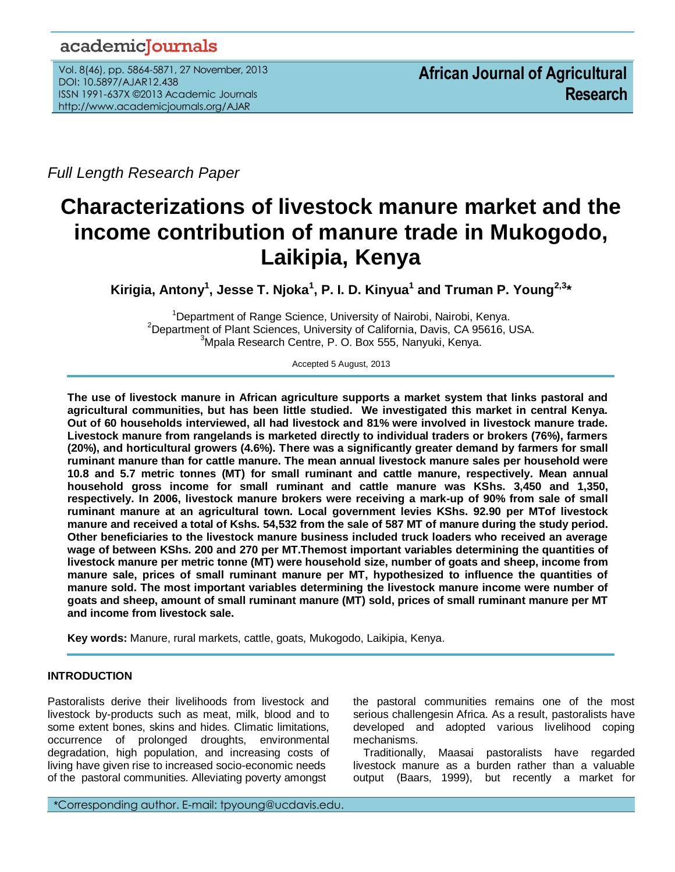## academicJournals

Vol. 8(46), pp. 5864-5871, 27 November, 2013 DOI: 10.5897/AJAR12.438 ISSN 1991-637X ©2013 Academic Journals http://www.academicjournals.org/AJAR

*Full Length Research Paper*

# **Characterizations of livestock manure market and the income contribution of manure trade in Mukogodo, Laikipia, Kenya**

**Kirigia, Antony<sup>1</sup> , Jesse T. Njoka<sup>1</sup> , P. I. D. Kinyua<sup>1</sup> and Truman P. Young2,3\***

<sup>1</sup>Department of Range Science, University of Nairobi, Nairobi, Kenya. <sup>2</sup>Department of Plant Sciences, University of California, Davis, CA 95616, USA. <sup>3</sup>Mpala Research Centre, P. O. Box 555, Nanyuki, Kenya.

Accepted 5 August, 2013

**The use of livestock manure in African agriculture supports a market system that links pastoral and agricultural communities, but has been little studied. We investigated this market in central Kenya. Out of 60 households interviewed, all had livestock and 81% were involved in livestock manure trade. Livestock manure from rangelands is marketed directly to individual traders or brokers (76%), farmers (20%), and horticultural growers (4.6%). There was a significantly greater demand by farmers for small ruminant manure than for cattle manure. The mean annual livestock manure sales per household were 10.8 and 5.7 metric tonnes (MT) for small ruminant and cattle manure, respectively. Mean annual household gross income for small ruminant and cattle manure was KShs. 3,450 and 1,350, respectively. In 2006, livestock manure brokers were receiving a mark-up of 90% from sale of small ruminant manure at an agricultural town. Local government levies KShs. 92.90 per MTof livestock manure and received a total of Kshs. 54,532 from the sale of 587 MT of manure during the study period. Other beneficiaries to the livestock manure business included truck loaders who received an average wage of between KShs. 200 and 270 per MT.Themost important variables determining the quantities of livestock manure per metric tonne (MT) were household size, number of goats and sheep, income from manure sale, prices of small ruminant manure per MT, hypothesized to influence the quantities of manure sold. The most important variables determining the livestock manure income were number of goats and sheep, amount of small ruminant manure (MT) sold, prices of small ruminant manure per MT and income from livestock sale.**

**Key words:** Manure, rural markets, cattle, goats, Mukogodo, Laikipia, Kenya.

## **INTRODUCTION**

..*.*

Pastoralists derive their livelihoods from livestock and livestock by-products such as meat, milk, blood and to some extent bones, skins and hides. Climatic limitations, occurrence of prolonged droughts, environmental degradation, high population, and increasing costs of living have given rise to increased socio-economic needs of the pastoral communities. Alleviating poverty amongst

the pastoral communities remains one of the most serious challengesin Africa. As a result, pastoralists have developed and adopted various livelihood coping mechanisms.

Traditionally, Maasai pastoralists have regarded livestock manure as a burden rather than a valuable output (Baars, 1999), but recently a market for

\*Corresponding author. E-mail: tpyoung@ucdavis.edu.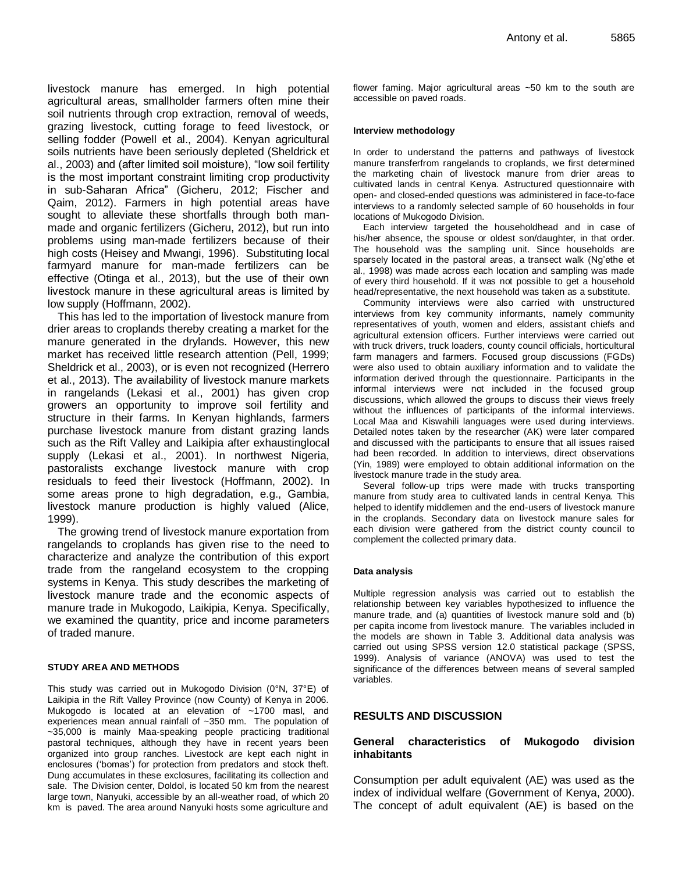livestock manure has emerged. In high potential agricultural areas, smallholder farmers often mine their soil nutrients through crop extraction, removal of weeds, grazing livestock, cutting forage to feed livestock, or selling fodder (Powell et al., 2004). Kenyan agricultural soils nutrients have been seriously depleted (Sheldrick et al., 2003) and (after limited soil moisture), "low soil fertility is the most important constraint limiting crop productivity in sub-Saharan Africa" (Gicheru, 2012; Fischer and Qaim, 2012). Farmers in high potential areas have sought to alleviate these shortfalls through both manmade and organic fertilizers (Gicheru, 2012), but run into problems using man-made fertilizers because of their high costs (Heisey and Mwangi, 1996). Substituting local farmyard manure for man-made fertilizers can be effective (Otinga et al., 2013), but the use of their own livestock manure in these agricultural areas is limited by low supply (Hoffmann, 2002).

This has led to the importation of livestock manure from drier areas to croplands thereby creating a market for the manure generated in the drylands. However, this new market has received little research attention (Pell, 1999; Sheldrick et al., 2003), or is even not recognized (Herrero et al., 2013). The availability of livestock manure markets in rangelands (Lekasi et al., 2001) has given crop growers an opportunity to improve soil fertility and structure in their farms. In Kenyan highlands, farmers purchase livestock manure from distant grazing lands such as the Rift Valley and Laikipia after exhaustinglocal supply (Lekasi et al., 2001). In northwest Nigeria, pastoralists exchange livestock manure with crop residuals to feed their livestock (Hoffmann, 2002). In some areas prone to high degradation, e.g., Gambia, livestock manure production is highly valued (Alice, 1999).

The growing trend of livestock manure exportation from rangelands to croplands has given rise to the need to characterize and analyze the contribution of this export trade from the rangeland ecosystem to the cropping systems in Kenya. This study describes the marketing of livestock manure trade and the economic aspects of manure trade in Mukogodo, Laikipia, Kenya. Specifically, we examined the quantity, price and income parameters of traded manure.

#### **STUDY AREA AND METHODS**

This study was carried out in Mukogodo Division (0°N, 37°E) of Laikipia in the Rift Valley Province (now County) of Kenya in 2006. Mukogodo is located at an elevation of ~1700 masl, and experiences mean annual rainfall of ~350 mm. The population of ~35,000 is mainly Maa-speaking people practicing traditional pastoral techniques, although they have in recent years been organized into group ranches. Livestock are kept each night in enclosures ('bomas') for protection from predators and stock theft. Dung accumulates in these exclosures, facilitating its collection and sale. The Division center, Doldol, is located 50 km from the nearest large town, Nanyuki, accessible by an all-weather road, of which 20 km is paved. The area around Nanyuki hosts some agriculture and flower faming. Major agricultural areas ~50 km to the south are accessible on paved roads.

#### **Interview methodology**

In order to understand the patterns and pathways of livestock manure transferfrom rangelands to croplands, we first determined the marketing chain of livestock manure from drier areas to cultivated lands in central Kenya. Astructured questionnaire with open- and closed-ended questions was administered in face-to-face interviews to a randomly selected sample of 60 households in four locations of Mukogodo Division.

Each interview targeted the householdhead and in case of his/her absence, the spouse or oldest son/daughter, in that order. The household was the sampling unit. Since households are sparsely located in the pastoral areas, a transect walk (Ng'ethe et al., 1998) was made across each location and sampling was made of every third household. If it was not possible to get a household head/representative, the next household was taken as a substitute.

Community interviews were also carried with unstructured interviews from key community informants, namely community representatives of youth, women and elders, assistant chiefs and agricultural extension officers. Further interviews were carried out with truck drivers, truck loaders, county council officials, horticultural farm managers and farmers. Focused group discussions (FGDs) were also used to obtain auxiliary information and to validate the information derived through the questionnaire. Participants in the informal interviews were not included in the focused group discussions, which allowed the groups to discuss their views freely without the influences of participants of the informal interviews. Local Maa and Kiswahili languages were used during interviews. Detailed notes taken by the researcher (AK) were later compared and discussed with the participants to ensure that all issues raised had been recorded. In addition to interviews, direct observations (Yin, 1989) were employed to obtain additional information on the livestock manure trade in the study area.

Several follow-up trips were made with trucks transporting manure from study area to cultivated lands in central Kenya. This helped to identify middlemen and the end-users of livestock manure in the croplands. Secondary data on livestock manure sales for each division were gathered from the district county council to complement the collected primary data.

#### **Data analysis**

Multiple regression analysis was carried out to establish the relationship between key variables hypothesized to influence the manure trade, and (a) quantities of livestock manure sold and (b) per capita income from livestock manure. The variables included in the models are shown in Table 3. Additional data analysis was carried out using SPSS version 12.0 statistical package (SPSS, 1999). Analysis of variance (ANOVA) was used to test the significance of the differences between means of several sampled variables.

#### **RESULTS AND DISCUSSION**

#### **General characteristics of Mukogodo division inhabitants**

Consumption per adult equivalent (AE) was used as the index of individual welfare (Government of Kenya, 2000). The concept of adult equivalent (AE) is based on the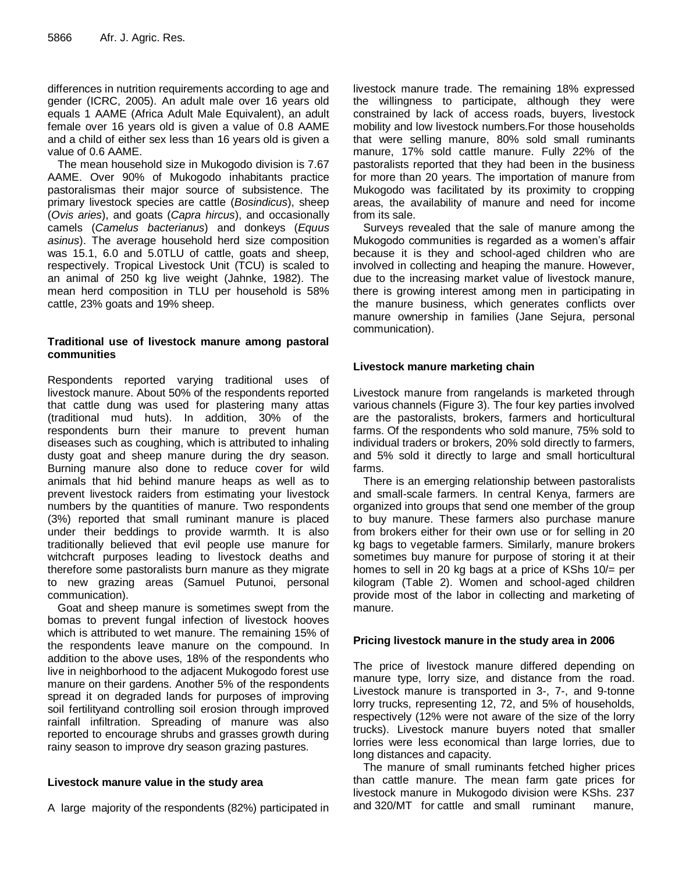differences in nutrition requirements according to age and gender (ICRC, 2005). An adult male over 16 years old equals 1 AAME (Africa Adult Male Equivalent), an adult female over 16 years old is given a value of 0.8 AAME and a child of either sex less than 16 years old is given a value of 0.6 AAME.

The mean household size in Mukogodo division is 7.67 AAME. Over 90% of Mukogodo inhabitants practice pastoralismas their major source of subsistence. The primary livestock species are cattle (*Bosindicus*), sheep (*Ovis aries*), and goats (*Capra hircus*), and occasionally camels (*Camelus bacterianus*) and donkeys (*Equus asinus*). The average household herd size composition was 15.1, 6.0 and 5.0TLU of cattle, goats and sheep, respectively. Tropical Livestock Unit (TCU) is scaled to an animal of 250 kg live weight (Jahnke, 1982). The mean herd composition in TLU per household is 58% cattle, 23% goats and 19% sheep.

## **Traditional use of livestock manure among pastoral communities**

Respondents reported varying traditional uses of livestock manure. About 50% of the respondents reported that cattle dung was used for plastering many attas (traditional mud huts). In addition, 30% of the respondents burn their manure to prevent human diseases such as coughing, which is attributed to inhaling dusty goat and sheep manure during the dry season. Burning manure also done to reduce cover for wild animals that hid behind manure heaps as well as to prevent livestock raiders from estimating your livestock numbers by the quantities of manure. Two respondents (3%) reported that small ruminant manure is placed under their beddings to provide warmth. It is also traditionally believed that evil people use manure for witchcraft purposes leading to livestock deaths and therefore some pastoralists burn manure as they migrate to new grazing areas (Samuel Putunoi, personal communication).

Goat and sheep manure is sometimes swept from the bomas to prevent fungal infection of livestock hooves which is attributed to wet manure. The remaining 15% of the respondents leave manure on the compound. In addition to the above uses, 18% of the respondents who live in neighborhood to the adjacent Mukogodo forest use manure on their gardens. Another 5% of the respondents spread it on degraded lands for purposes of improving soil fertilityand controlling soil erosion through improved rainfall infiltration. Spreading of manure was also reported to encourage shrubs and grasses growth during rainy season to improve dry season grazing pastures.

## **Livestock manure value in the study area**

A large majority of the respondents (82%) participated in

livestock manure trade. The remaining 18% expressed the willingness to participate, although they were constrained by lack of access roads, buyers, livestock mobility and low livestock numbers.For those households that were selling manure, 80% sold small ruminants manure, 17% sold cattle manure. Fully 22% of the pastoralists reported that they had been in the business for more than 20 years. The importation of manure from Mukogodo was facilitated by its proximity to cropping areas, the availability of manure and need for income from its sale.

Surveys revealed that the sale of manure among the Mukogodo communities is regarded as a women's affair because it is they and school-aged children who are involved in collecting and heaping the manure. However, due to the increasing market value of livestock manure, there is growing interest among men in participating in the manure business, which generates conflicts over manure ownership in families (Jane Sejura, personal communication).

## **Livestock manure marketing chain**

Livestock manure from rangelands is marketed through various channels (Figure 3). The four key parties involved are the pastoralists, brokers, farmers and horticultural farms. Of the respondents who sold manure, 75% sold to individual traders or brokers, 20% sold directly to farmers, and 5% sold it directly to large and small horticultural farms.

There is an emerging relationship between pastoralists and small-scale farmers. In central Kenya, farmers are organized into groups that send one member of the group to buy manure. These farmers also purchase manure from brokers either for their own use or for selling in 20 kg bags to vegetable farmers. Similarly, manure brokers sometimes buy manure for purpose of storing it at their homes to sell in 20 kg bags at a price of KShs 10/= per kilogram (Table 2). Women and school-aged children provide most of the labor in collecting and marketing of manure.

## **Pricing livestock manure in the study area in 2006**

The price of livestock manure differed depending on manure type, lorry size, and distance from the road. Livestock manure is transported in 3-, 7-, and 9-tonne lorry trucks, representing 12, 72, and 5% of households, respectively (12% were not aware of the size of the lorry trucks). Livestock manure buyers noted that smaller lorries were less economical than large lorries, due to long distances and capacity.

The manure of small ruminants fetched higher prices than cattle manure. The mean farm gate prices for livestock manure in Mukogodo division were KShs. 237 and 320/MT for cattle and small ruminant manure,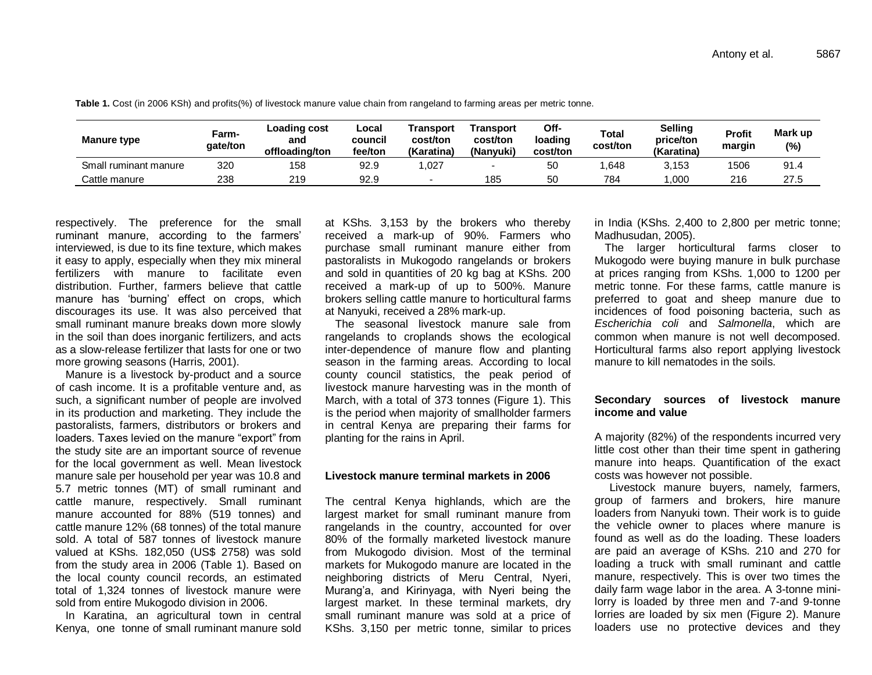| <b>Manure type</b>    | Farm-<br>qate/ton | Loading cost<br>and<br>offloading/ton | Local<br>council<br>fee/ton | Transport<br>cost/ton<br>(Karatina) | Transport<br>cost/ton<br>(Nanvuki) | Off-<br>loading<br>cost/ton | <b>Total</b><br>cost/ton | Selling<br>price/ton<br>(Karatina) | Profit<br>margin | Mark up<br>(%) |
|-----------------------|-------------------|---------------------------------------|-----------------------------|-------------------------------------|------------------------------------|-----------------------------|--------------------------|------------------------------------|------------------|----------------|
| Small ruminant manure | 320               | 158                                   | 92.9                        | .027                                |                                    | 50                          | .648                     | 3,153                              | 1506             | 91.4           |
| Cattle manure         | 238               | 219                                   | 92.9                        |                                     | 185                                | 50                          | 784                      | ,000                               | 216              | 27.5           |

**Table 1.** Cost (in 2006 KSh) and profits(%) of livestock manure value chain from rangeland to farming areas per metric tonne.

respectively. The preference for the small ruminant manure, according to the farmers' interviewed, is due to its fine texture, which makes it easy to apply, especially when they mix mineral fertilizers with manure to facilitate even distribution. Further, farmers believe that cattle manure has 'burning' effect on crops, which discourages its use. It was also perceived that small ruminant manure breaks down more slowly in the soil than does inorganic fertilizers, and acts as a slow-release fertilizer that lasts for one or two more growing seasons (Harris, 2001).

Manure is a livestock by-product and a source of cash income. It is a profitable venture and, as such, a significant number of people are involved in its production and marketing. They include the pastoralists, farmers, distributors or brokers and loaders. Taxes levied on the manure "export" from the study site are an important source of revenue for the local government as well. Mean livestock manure sale per household per year was 10.8 and 5.7 metric tonnes (MT) of small ruminant and cattle manure, respectively. Small ruminant manure accounted for 88% (519 tonnes) and cattle manure 12% (68 tonnes) of the total manure sold. A total of 587 tonnes of livestock manure valued at KShs. 182,050 (US\$ 2758) was sold from the study area in 2006 (Table 1). Based on the local county council records, an estimated total of 1,324 tonnes of livestock manure were sold from entire Mukogodo division in 2006.

In Karatina, an agricultural town in central Kenya, one tonne of small ruminant manure sold at KShs. 3,153 by the brokers who thereby received a mark-up of 90%. Farmers who purchase small ruminant manure either from pastoralists in Mukogodo rangelands or brokers and sold in quantities of 20 kg bag at KShs. 200 received a mark-up of up to 500%. Manure brokers selling cattle manure to horticultural farms at Nanyuki, received a 28% mark-up.

The seasonal livestock manure sale from rangelands to croplands shows the ecological inter-dependence of manure flow and planting season in the farming areas. According to local county council statistics, the peak period of livestock manure harvesting was in the month of March, with a total of 373 tonnes (Figure 1). This is the period when majority of smallholder farmers in central Kenya are preparing their farms for planting for the rains in April.

#### **Livestock manure terminal markets in 2006**

The central Kenya highlands, which are the largest market for small ruminant manure from rangelands in the country, accounted for over 80% of the formally marketed livestock manure from Mukogodo division. Most of the terminal markets for Mukogodo manure are located in the neighboring districts of Meru Central, Nyeri, Murang'a, and Kirinyaga, with Nyeri being the largest market. In these terminal markets, dry small ruminant manure was sold at a price of KShs. 3,150 per metric tonne, similar to prices in India (KShs. 2,400 to 2,800 per metric tonne; Madhusudan, 2005).

The larger horticultural farms closer to Mukogodo were buying manure in bulk purchase at prices ranging from KShs. 1,000 to 1200 per metric tonne. For these farms, cattle manure is preferred to goat and sheep manure due to incidences of food poisoning bacteria, such as *Escherichia coli* and *Salmonella*, which are common when manure is not well decomposed. Horticultural farms also report applying livestock manure to kill nematodes in the soils.

#### **Secondary sources of livestock manure income and value**

A majority (82%) of the respondents incurred very little cost other than their time spent in gathering manure into heaps. Quantification of the exact costs was however not possible.

Livestock manure buyers, namely, farmers, group of farmers and brokers, hire manure loaders from Nanyuki town. Their work is to guide the vehicle owner to places where manure is found as well as do the loading. These loaders are paid an average of KShs. 210 and 270 for loading a truck with small ruminant and cattle manure, respectively. This is over two times the daily farm wage labor in the area. A 3-tonne minilorry is loaded by three men and 7-and 9-tonne lorries are loaded by six men (Figure 2). Manure loaders use no protective devices and they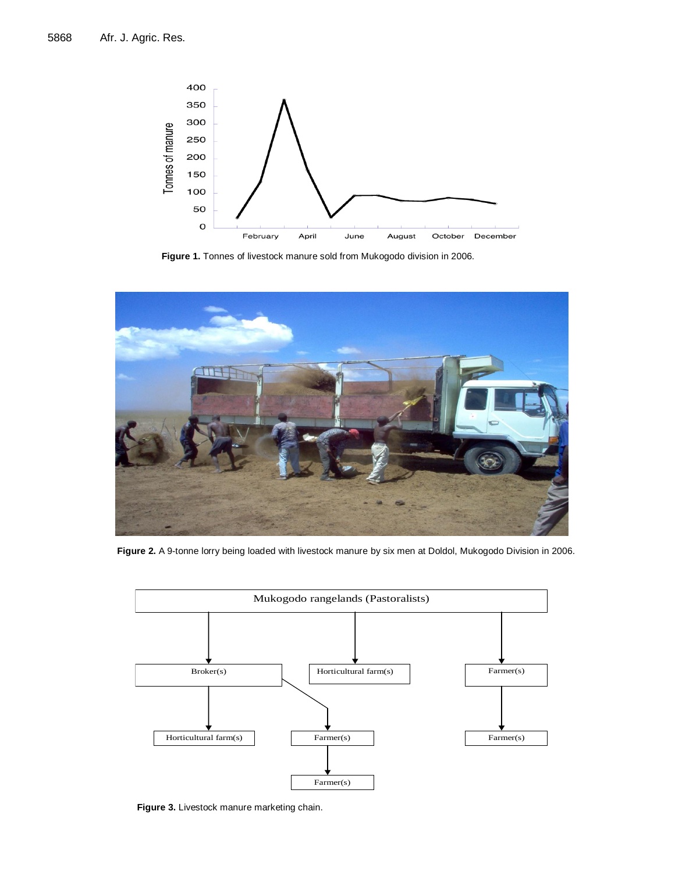

**Figure 1.** Tonnes of livestock manure sold from Mukogodo division in 2006.



**Figure 2.** A 9-tonne lorry being loaded with livestock manure by six men at Doldol, Mukogodo Division in 2006.



**Figure 3.** Livestock manure marketing chain.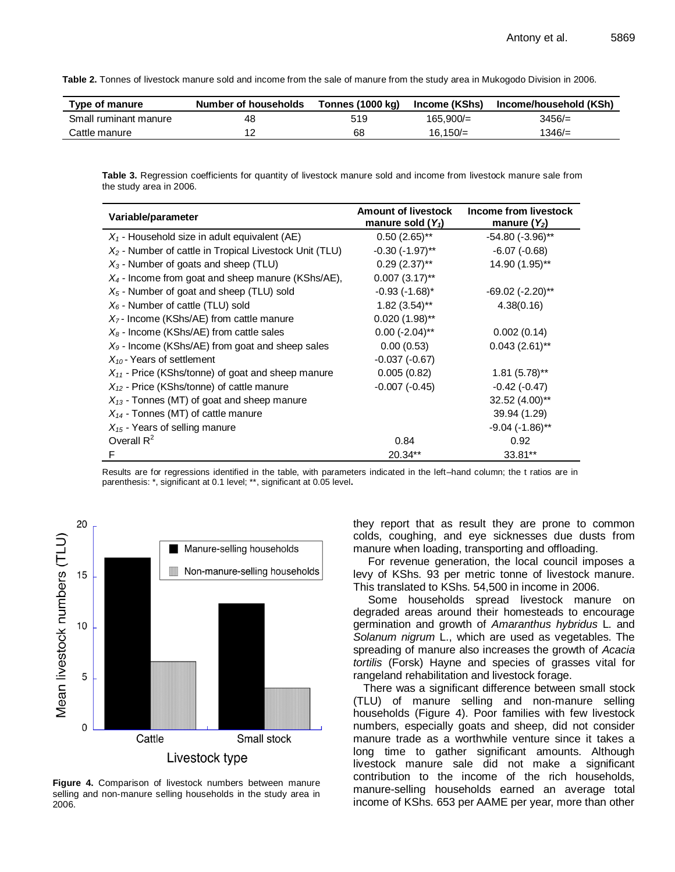**Table 2.** Tonnes of livestock manure sold and income from the sale of manure from the study area in Mukogodo Division in 2006.

| Type of manure        | <b>Number of households</b> | Tonnes (1000 kg) | Income (KShs) | Income/household (KSh) |
|-----------------------|-----------------------------|------------------|---------------|------------------------|
| Small ruminant manure | 48                          | 519              | 165.900/=     | $3456/=$               |
| Cattle manure         |                             | 68               | $16.150 =$    | $1346/=$               |

**Table 3.** Regression coefficients for quantity of livestock manure sold and income from livestock manure sale from the study area in 2006.

| Variable/parameter                                        | <b>Amount of livestock</b><br>manure sold $(Y_1)$ | Income from livestock<br>manure $(Y_2)$ |  |
|-----------------------------------------------------------|---------------------------------------------------|-----------------------------------------|--|
| $X_1$ - Household size in adult equivalent (AE)           | $0.50(2.65)$ **                                   | $-54.80$ $(-3.96)$ **                   |  |
| $X_2$ - Number of cattle in Tropical Livestock Unit (TLU) | $-0.30$ $(-1.97)$ **                              | $-6.07(-0.68)$                          |  |
| $X_3$ - Number of goats and sheep (TLU)                   | $0.29(2.37)$ **                                   | 14.90 (1.95)**                          |  |
| $X_4$ - Income from goat and sheep manure (KShs/AE),      | $0.007$ $(3.17)$ **                               |                                         |  |
| $X_5$ - Number of goat and sheep (TLU) sold               | $-0.93(-1.68)^*$                                  | $-69.02$ $(-2.20)$ **                   |  |
| $X_6$ - Number of cattle (TLU) sold                       | $1.82(3.54)$ **                                   | 4.38(0.16)                              |  |
| $X7$ - Income (KShs/AE) from cattle manure                | $0.020(1.98)$ **                                  |                                         |  |
| $X_8$ - Income (KShs/AE) from cattle sales                | $0.00$ (-2.04)**                                  | 0.002(0.14)                             |  |
| $X9$ - Income (KShs/AE) from goat and sheep sales         | 0.00(0.53)                                        | $0.043(2.61)$ **                        |  |
| $X_{10}$ - Years of settlement                            | $-0.037(-0.67)$                                   |                                         |  |
| $X_{11}$ - Price (KShs/tonne) of goat and sheep manure    | 0.005(0.82)                                       | $1.81(5.78)$ **                         |  |
| $X_{12}$ - Price (KShs/tonne) of cattle manure            | $-0.007(-0.45)$                                   | $-0.42(-0.47)$                          |  |
| $X_{13}$ - Tonnes (MT) of goat and sheep manure           |                                                   | $32.52(4.00)$ **                        |  |
| $X_{14}$ - Tonnes (MT) of cattle manure                   |                                                   | 39.94 (1.29)                            |  |
| $X_{15}$ - Years of selling manure                        |                                                   | $-9.04$ ( $-1.86$ )**                   |  |
| Overall $R^2$                                             | 0.84                                              | 0.92                                    |  |
| F                                                         | $20.34**$                                         | 33.81**                                 |  |

Results are for regressions identified in the table, with parameters indicated in the left–hand column; the t ratios are in parenthesis: \*, significant at 0.1 level; \*\*, significant at 0.05 level**.** 



**Figure 4.** Comparison of livestock numbers between manure selling and non-manure selling households in the study area in 2006.

they report that as result they are prone to common colds, coughing, and eye sicknesses due dusts from manure when loading, transporting and offloading.

For revenue generation, the local council imposes a levy of KShs. 93 per metric tonne of livestock manure. This translated to KShs. 54,500 in income in 2006.

Some households spread livestock manure on degraded areas around their homesteads to encourage germination and growth of *Amaranthus hybridus* L*.* and *Solanum nigrum* L., which are used as vegetables. The spreading of manure also increases the growth of *Acacia tortilis* (Forsk) Hayne and species of grasses vital for rangeland rehabilitation and livestock forage.

There was a significant difference between small stock (TLU) of manure selling and non-manure selling households (Figure 4). Poor families with few livestock numbers, especially goats and sheep, did not consider manure trade as a worthwhile venture since it takes a long time to gather significant amounts. Although livestock manure sale did not make a significant contribution to the income of the rich households, manure-selling households earned an average total income of KShs. 653 per AAME per year, more than other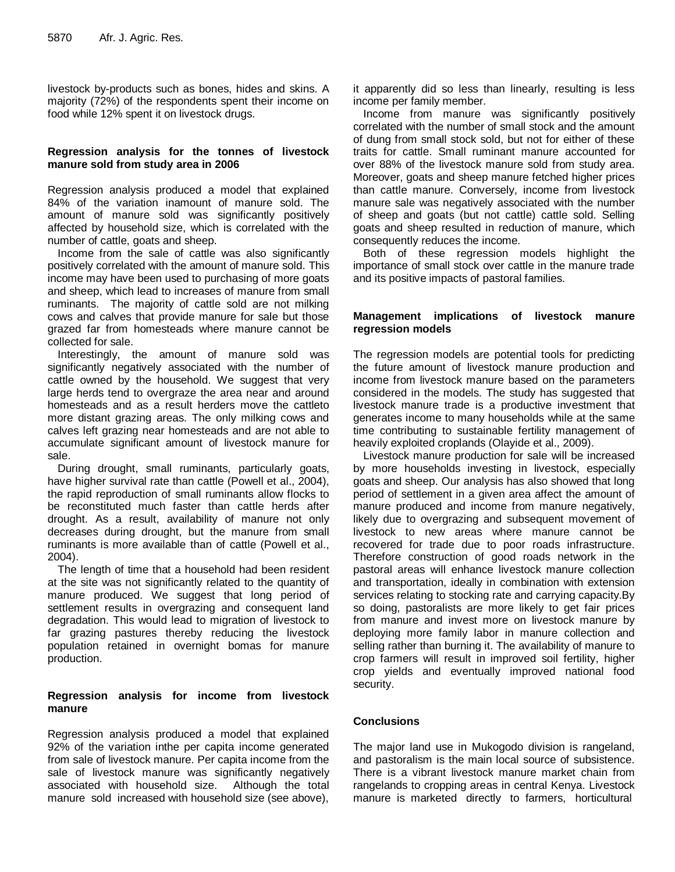livestock by-products such as bones, hides and skins. A majority (72%) of the respondents spent their income on food while 12% spent it on livestock drugs.

## **Regression analysis for the tonnes of livestock manure sold from study area in 2006**

Regression analysis produced a model that explained 84% of the variation inamount of manure sold. The amount of manure sold was significantly positively affected by household size, which is correlated with the number of cattle, goats and sheep.

Income from the sale of cattle was also significantly positively correlated with the amount of manure sold. This income may have been used to purchasing of more goats and sheep, which lead to increases of manure from small ruminants. The majority of cattle sold are not milking cows and calves that provide manure for sale but those grazed far from homesteads where manure cannot be collected for sale.

Interestingly, the amount of manure sold was significantly negatively associated with the number of cattle owned by the household. We suggest that very large herds tend to overgraze the area near and around homesteads and as a result herders move the cattleto more distant grazing areas. The only milking cows and calves left grazing near homesteads and are not able to accumulate significant amount of livestock manure for sale.

During drought, small ruminants, particularly goats, have higher survival rate than cattle (Powell et al., 2004), the rapid reproduction of small ruminants allow flocks to be reconstituted much faster than cattle herds after drought. As a result, availability of manure not only decreases during drought, but the manure from small ruminants is more available than of cattle (Powell et al., 2004).

The length of time that a household had been resident at the site was not significantly related to the quantity of manure produced. We suggest that long period of settlement results in overgrazing and consequent land degradation. This would lead to migration of livestock to far grazing pastures thereby reducing the livestock population retained in overnight bomas for manure production.

### **Regression analysis for income from livestock manure**

Regression analysis produced a model that explained 92% of the variation inthe per capita income generated from sale of livestock manure. Per capita income from the sale of livestock manure was significantly negatively associated with household size. Although the total manure sold increased with household size (see above),

it apparently did so less than linearly, resulting is less income per family member.

Income from manure was significantly positively correlated with the number of small stock and the amount of dung from small stock sold, but not for either of these traits for cattle. Small ruminant manure accounted for over 88% of the livestock manure sold from study area. Moreover, goats and sheep manure fetched higher prices than cattle manure. Conversely, income from livestock manure sale was negatively associated with the number of sheep and goats (but not cattle) cattle sold. Selling goats and sheep resulted in reduction of manure, which consequently reduces the income.

Both of these regression models highlight the importance of small stock over cattle in the manure trade and its positive impacts of pastoral families.

### **Management implications of livestock manure regression models**

The regression models are potential tools for predicting the future amount of livestock manure production and income from livestock manure based on the parameters considered in the models. The study has suggested that livestock manure trade is a productive investment that generates income to many households while at the same time contributing to sustainable fertility management of heavily exploited croplands (Olayide et al., 2009).

Livestock manure production for sale will be increased by more households investing in livestock, especially goats and sheep. Our analysis has also showed that long period of settlement in a given area affect the amount of manure produced and income from manure negatively, likely due to overgrazing and subsequent movement of livestock to new areas where manure cannot be recovered for trade due to poor roads infrastructure. Therefore construction of good roads network in the pastoral areas will enhance livestock manure collection and transportation, ideally in combination with extension services relating to stocking rate and carrying capacity.By so doing, pastoralists are more likely to get fair prices from manure and invest more on livestock manure by deploying more family labor in manure collection and selling rather than burning it. The availability of manure to crop farmers will result in improved soil fertility, higher crop yields and eventually improved national food security.

## **Conclusions**

The major land use in Mukogodo division is rangeland, and pastoralism is the main local source of subsistence. There is a vibrant livestock manure market chain from rangelands to cropping areas in central Kenya. Livestock manure is marketed directly to farmers, horticultural